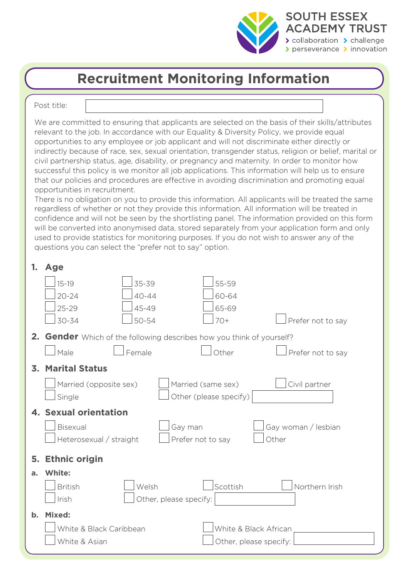

## **Recruitment Monitoring Information**

Post title:

We are committed to ensuring that applicants are selected on the basis of their skills/attributes relevant to the job. In accordance with our Equality & Diversity Policy, we provide equal opportunities to any employee or job applicant and will not discriminate either directly or indirectly because of race, sex, sexual orientation, transgender status, religion or belief, marital or civil partnership status, age, disability, or pregnancy and maternity. In order to monitor how successful this policy is we monitor all job applications. This information will help us to ensure that our policies and procedures are effective in avoiding discrimination and promoting equal opportunities in recruitment.

There is no obligation on you to provide this information. All applicants will be treated the same regardless of whether or not they provide this information. All information will be treated in confidence and will not be seen by the shortlisting panel. The information provided on this form will be converted into anonymised data, stored separately from your application form and only used to provide statistics for monitoring purposes. If you do not wish to answer any of the questions you can select the "prefer not to say" option.

| 1.            | <b>Age</b>                                                                   |                       |  |
|---------------|------------------------------------------------------------------------------|-----------------------|--|
|               | 35-39<br>$15 - 19$<br>55-59                                                  |                       |  |
|               | $20 - 24$<br>$40 - 44$<br>60-64                                              |                       |  |
|               | $25 - 29$<br>45-49<br>65-69                                                  |                       |  |
|               | 30-34<br>$50 - 54$<br>$70+$                                                  | Prefer not to say     |  |
|               | <b>2. Gender</b> Which of the following describes how you think of yourself? |                       |  |
|               | Female<br>  Male<br>Other                                                    | Prefer not to say     |  |
|               | <b>3. Marital Status</b>                                                     |                       |  |
|               | Married (same sex)<br>Married (opposite sex)                                 | Civil partner         |  |
|               | Other (please specify)<br>Single                                             |                       |  |
|               | 4. Sexual orientation                                                        |                       |  |
|               |                                                                              |                       |  |
|               | Bisexual<br>Gay man                                                          | Gay woman / lesbian   |  |
|               | Heterosexual / straight<br>Prefer not to say                                 | Other                 |  |
|               |                                                                              |                       |  |
|               | <b>Ethnic origin</b><br>5.                                                   |                       |  |
| a.            | White:                                                                       |                       |  |
|               | Welsh<br>Scottish<br><b>British</b>                                          | Northern Irish        |  |
|               | Irish<br>Other, please specify:                                              |                       |  |
| $\mathbf b$ . | Mixed:                                                                       |                       |  |
|               | White & Black Caribbean                                                      | White & Black African |  |